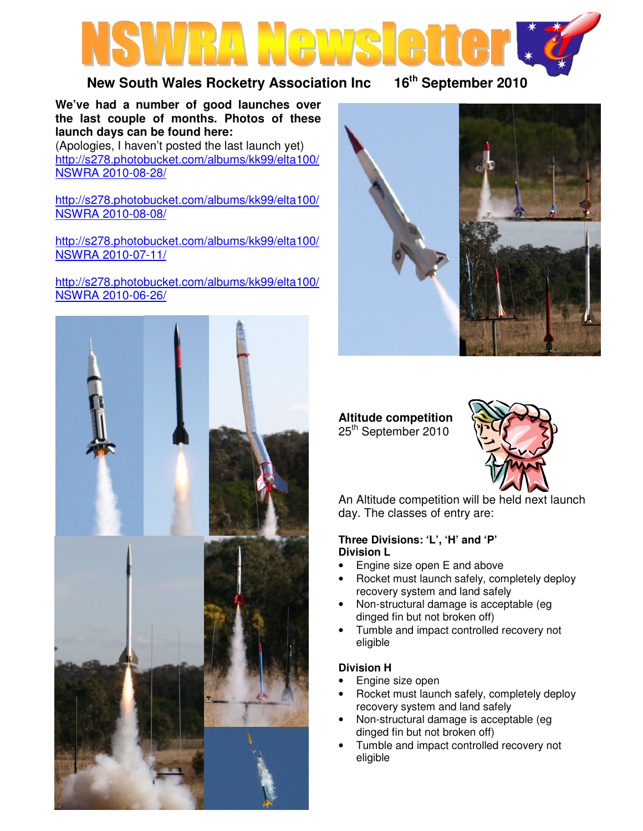

## **New South Wales Rocketry Association Inc 16th September 2010**

**We've had a number of good launches over the last couple of months. Photos of these launch days can be found here:**  (Apologies, I haven't posted the last launch yet) http://s278.photobucket.com/albums/kk99/elta100/ NSWRA 2010-08-28/

http://s278.photobucket.com/albums/kk99/elta100/ NSWRA 2010-08-08/

http://s278.photobucket.com/albums/kk99/elta100/ NSWRA 2010-07-11/

http://s278.photobucket.com/albums/kk99/elta100/ NSWRA 2010-06-26/





**Altitude competition**  25<sup>th</sup> September 2010



An Altitude competition will be held next launch day. The classes of entry are:

### **Three Divisions: 'L', 'H' and 'P' Division L**

- Engine size open E and above
- Rocket must launch safely, completely deploy recovery system and land safely
- Non-structural damage is acceptable (eg dinged fin but not broken off)
- Tumble and impact controlled recovery not eligible

## **Division H**

- Engine size open
- Rocket must launch safely, completely deploy recovery system and land safely
- Non-structural damage is acceptable (eg dinged fin but not broken off)
- Tumble and impact controlled recovery not eligible